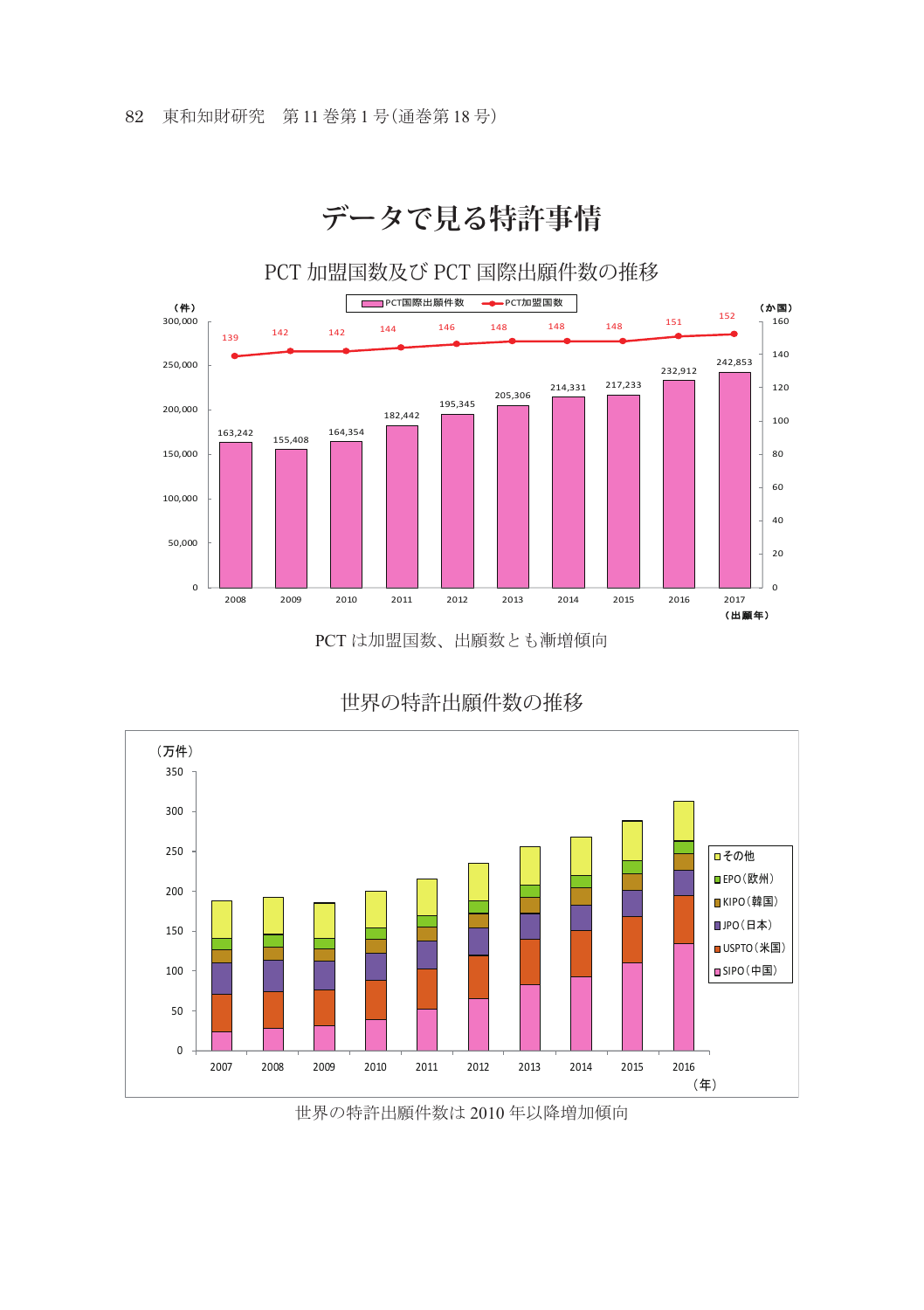**データで見る特許事情**



世界の特許出願件数の推移



世界の特許出願件数は 2010 年以降増加傾向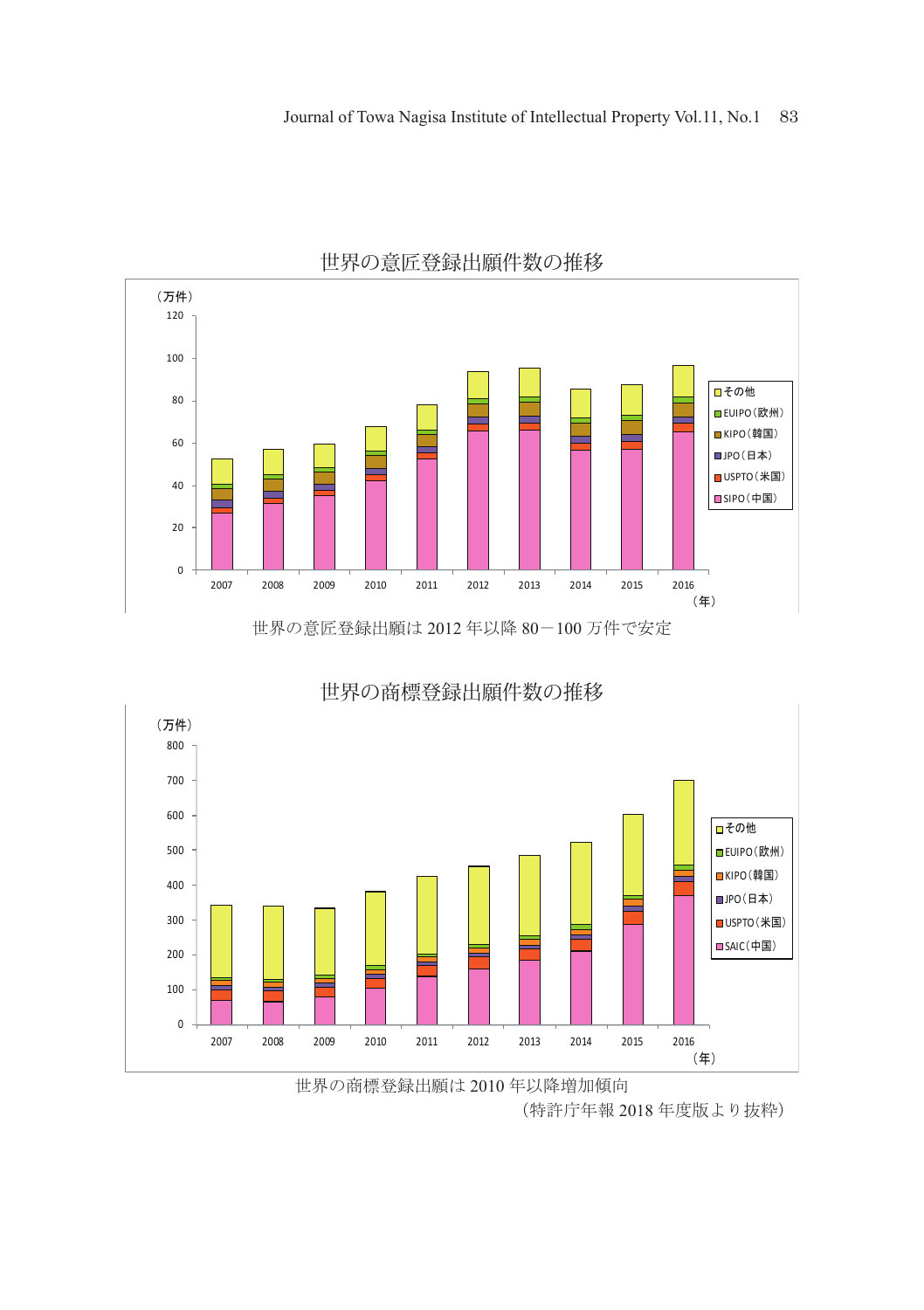

世界の意匠登録出願件数の推移

世界の意匠登録出願は 2012 年以降 80-100 万件で安定



世界の商標登録出願件数の推移

(特許庁年報 2018 年度版より抜粋)

世界の商標登録出願は 2010 年以降増加傾向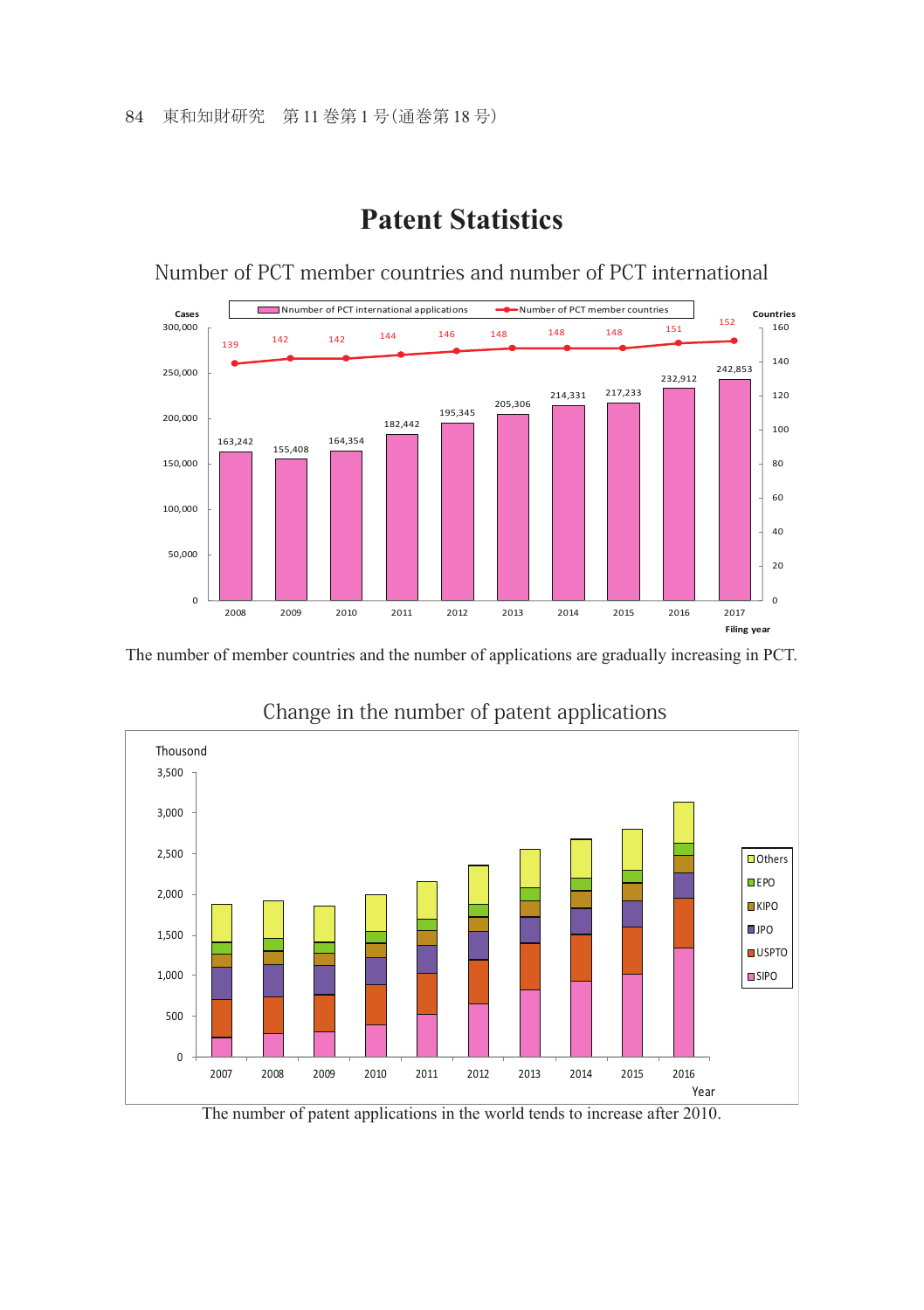## **Patent Statistics**

Number of PCT member countries and number of PCT international



The number of member countries and the number of applications are gradually increasing in PCT.



Change in the number of patent applications

The number of patent applications in the world tends to increase after 2010.